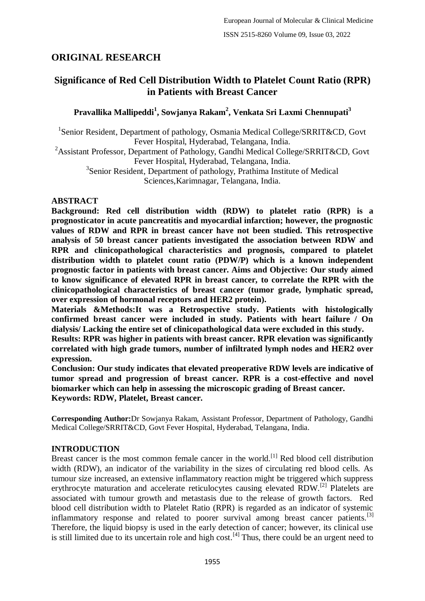# **ORIGINAL RESEARCH**

# **Significance of Red Cell Distribution Width to Platelet Count Ratio (RPR) in Patients with Breast Cancer**

# **Pravallika Mallipeddi<sup>1</sup> , Sowjanya Rakam<sup>2</sup> , Venkata Sri Laxmi Chennupati<sup>3</sup>**

<sup>1</sup>Senior Resident, Department of pathology, Osmania Medical College/SRRIT&CD, Govt Fever Hospital, Hyderabad, Telangana, India.

<sup>2</sup>Assistant Professor, Department of Pathology, Gandhi Medical College/SRRIT&CD, Govt Fever Hospital, Hyderabad, Telangana, India.

<sup>3</sup>Senior Resident, Department of pathology, Prathima Institute of Medical Sciences,Karimnagar, Telangana, India.

## **ABSTRACT**

**Background: Red cell distribution width (RDW) to platelet ratio (RPR) is a prognosticator in acute pancreatitis and myocardial infarction; however, the prognostic values of RDW and RPR in breast cancer have not been studied. This retrospective analysis of 50 breast cancer patients investigated the association between RDW and RPR and clinicopathological characteristics and prognosis, compared to platelet distribution width to platelet count ratio (PDW/P) which is a known independent prognostic factor in patients with breast cancer. Aims and Objective: Our study aimed to know significance of elevated RPR in breast cancer, to correlate the RPR with the clinicopathological characteristics of breast cancer (tumor grade, lymphatic spread, over expression of hormonal receptors and HER2 protein).**

**Materials &Methods:It was a Retrospective study. Patients with histologically confirmed breast cancer were included in study. Patients with heart failure / On dialysis/ Lacking the entire set of clinicopathological data were excluded in this study.**

**Results: RPR was higher in patients with breast cancer. RPR elevation was significantly correlated with high grade tumors, number of infiltrated lymph nodes and HER2 over expression.**

**Conclusion: Our study indicates that elevated preoperative RDW levels are indicative of tumor spread and progression of breast cancer. RPR is a cost-effective and novel biomarker which can help in assessing the microscopic grading of Breast cancer. Keywords: RDW, Platelet, Breast cancer.**

**Corresponding Author:**Dr Sowjanya Rakam, Assistant Professor, Department of Pathology, Gandhi Medical College/SRRIT&CD, Govt Fever Hospital, Hyderabad, Telangana, India.

## **INTRODUCTION**

Breast cancer is the most common female cancer in the world.<sup>[1]</sup> Red blood cell distribution width (RDW), an indicator of the variability in the sizes of circulating red blood cells. As tumour size increased, an extensive inflammatory reaction might be triggered which suppress erythrocyte maturation and accelerate reticulocytes causing elevated RDW.<sup>[2]</sup> Platelets are associated with tumour growth and metastasis due to the release of growth factors. Red blood cell distribution width to Platelet Ratio (RPR) is regarded as an indicator of systemic inflammatory response and related to poorer survival among breast cancer patients.<sup>[3]</sup> Therefore, the liquid biopsy is used in the early detection of cancer; however, its clinical use is still limited due to its uncertain role and high cost.<sup>[4]</sup> Thus, there could be an urgent need to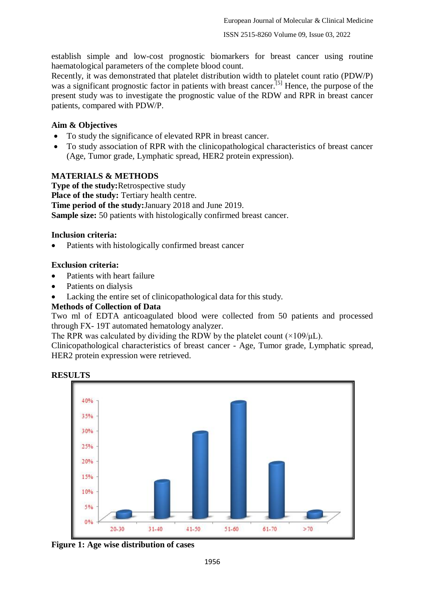establish simple and low-cost prognostic biomarkers for breast cancer using routine haematological parameters of the complete blood count.

Recently, it was demonstrated that platelet distribution width to platelet count ratio (PDW/P) was a significant prognostic factor in patients with breast cancer.<sup>[5]</sup> Hence, the purpose of the present study was to investigate the prognostic value of the RDW and RPR in breast cancer patients, compared with PDW/P.

#### **Aim & Objectives**

- To study the significance of elevated RPR in breast cancer.
- To study association of RPR with the clinicopathological characteristics of breast cancer (Age, Tumor grade, Lymphatic spread, HER2 protein expression).

#### **MATERIALS & METHODS**

**Type of the study:**Retrospective study **Place of the study:** Tertiary health centre. **Time period of the study:**January 2018 and June 2019. **Sample size:** 50 patients with histologically confirmed breast cancer.

#### **Inclusion criteria:**

• Patients with histologically confirmed breast cancer

#### **Exclusion criteria:**

- Patients with heart failure
- Patients on dialysis
- Lacking the entire set of clinicopathological data for this study.

## **Methods of Collection of Data**

Two ml of EDTA anticoagulated blood were collected from 50 patients and processed through FX- 19T automated hematology analyzer.

The RPR was calculated by dividing the RDW by the platelet count  $(\times 109/\mu L)$ .

Clinicopathological characteristics of breast cancer - Age, Tumor grade, Lymphatic spread, HER2 protein expression were retrieved.



**RESULTS**

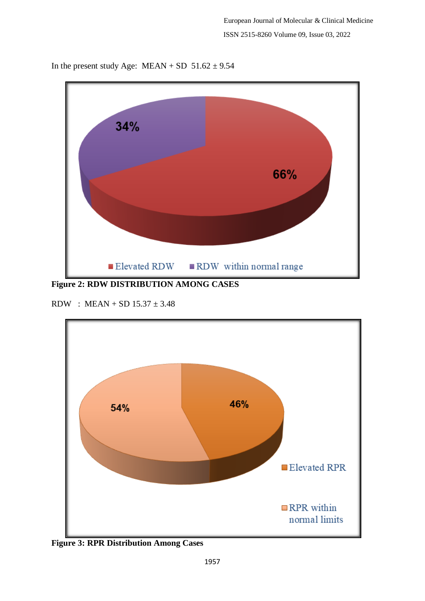

In the present study Age:  $MEAN + SD 51.62 \pm 9.54$ 

**Figure 2: RDW DISTRIBUTION AMONG CASES**

RDW : MEAN + SD  $15.37 \pm 3.48$ 



**Figure 3: RPR Distribution Among Cases**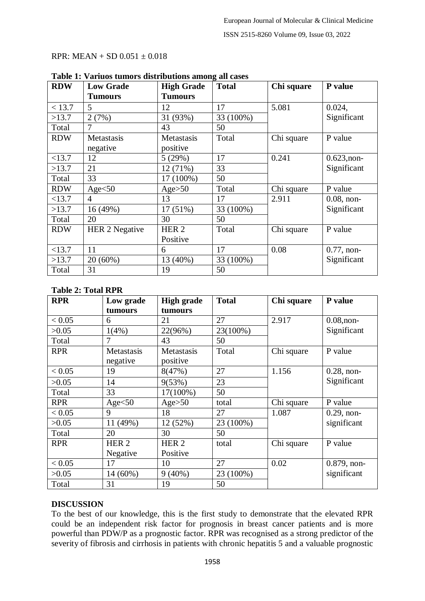#### RPR:  $MEAN + SD 0.051 \pm 0.018$

| <b>RDW</b> | <b>Low Grade</b>      | <b>High Grade</b> | <b>Total</b> | Chi square | P value       |  |  |
|------------|-----------------------|-------------------|--------------|------------|---------------|--|--|
|            | <b>Tumours</b>        | <b>Tumours</b>    |              |            |               |  |  |
| < 13.7     | 5                     | 12                | 17           | 5.081      | 0.024,        |  |  |
| >13.7      | 2(7%)                 | 31 (93%)          | 33 (100%)    |            | Significant   |  |  |
| Total      | 7                     | 43                | 50           |            |               |  |  |
| <b>RDW</b> | Metastasis            | Metastasis        | Total        | Chi square | P value       |  |  |
|            | negative              | positive          |              |            |               |  |  |
| <13.7      | 12                    | 5(29%)            | 17           | 0.241      | $0.623,$ non- |  |  |
| >13.7      | 21                    | 12(71%)           | 33           |            | Significant   |  |  |
| Total      | 33                    | 17 (100%)         | 50           |            |               |  |  |
| <b>RDW</b> | Age< 50               | Age > 50          | Total        | Chi square | P value       |  |  |
| <13.7      | $\overline{4}$        | 13                | 17           | 2.911      | $0.08$ , non- |  |  |
| >13.7      | 16 (49%)              | $17(51\%)$        | 33 (100%)    |            | Significant   |  |  |
| Total      | 20                    | 30                | 50           |            |               |  |  |
| <b>RDW</b> | <b>HER 2 Negative</b> | HER <sub>2</sub>  | Total        | Chi square | P value       |  |  |
|            |                       | Positive          |              |            |               |  |  |
| <13.7      | 11                    | 6                 | 17           | 0.08       | $0.77$ , non- |  |  |
| >13.7      | $20(60\%)$            | 13 (40%)          | 33 (100%)    |            | Significant   |  |  |
| Total      | 31                    | 19                | 50           |            |               |  |  |

## **Table 1: Variuos tumors distributions among all cases**

#### **Table 2: Total RPR**

| <b>RPR</b> | Low grade        | <b>High grade</b> | <b>Total</b> | Chi square | P value       |
|------------|------------------|-------------------|--------------|------------|---------------|
|            | tumours          | tumours           |              |            |               |
| < 0.05     | 6                | 21                | 27           | 2.917      | $0.08,$ non-  |
| >0.05      | 1(4%)            | 22(96%)           | 23(100%)     |            | Significant   |
| Total      | 7                | 43                | 50           |            |               |
| <b>RPR</b> | Metastasis       | Metastasis        | Total        | Chi square | P value       |
|            | negative         | positive          |              |            |               |
| < 0.05     | 19               | 8(47%)            | 27           | 1.156      | $0.28$ , non- |
| >0.05      | 14               | 9(53%)            | 23           |            | Significant   |
| Total      | 33               | 17(100%)          | 50           |            |               |
| <b>RPR</b> | Age< 50          | Age > 50          | total        | Chi square | P value       |
| < 0.05     | 9                | 18                | 27           | 1.087      | $0.29$ , non- |
| >0.05      | 11 (49%)         | 12 (52%)          | 23 (100%)    |            | significant   |
| Total      | 20               | 30                | 50           |            |               |
| <b>RPR</b> | HER <sub>2</sub> | HER <sub>2</sub>  | total        | Chi square | P value       |
|            | Negative         | Positive          |              |            |               |
| < 0.05     | 17               | 10                | 27           | 0.02       | 0.879, non-   |
| >0.05      | 14 (60%)         | $9(40\%)$         | 23 (100%)    |            | significant   |
| Total      | 31               | 19                | 50           |            |               |

## **DISCUSSION**

To the best of our knowledge, this is the first study to demonstrate that the elevated RPR could be an independent risk factor for prognosis in breast cancer patients and is more powerful than PDW/P as a prognostic factor. RPR was recognised as a strong predictor of the severity of fibrosis and cirrhosis in patients with chronic hepatitis 5 and a valuable prognostic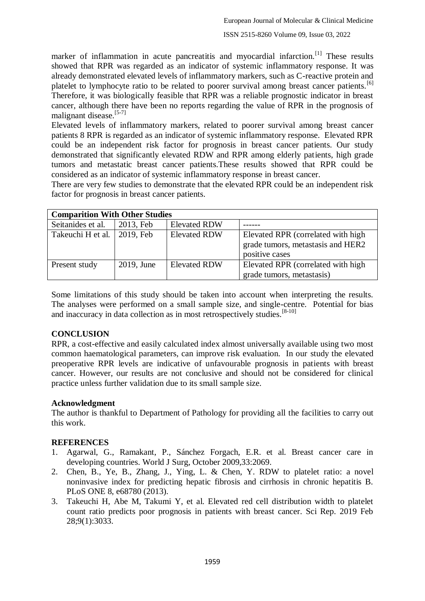marker of inflammation in acute pancreatitis and myocardial infarction.<sup>[1]</sup> These results showed that RPR was regarded as an indicator of systemic inflammatory response. It was already demonstrated elevated levels of inflammatory markers, such as C-reactive protein and platelet to lymphocyte ratio to be related to poorer survival among breast cancer patients.<sup>[6]</sup> Therefore, it was biologically feasible that RPR was a reliable prognostic indicator in breast cancer, although there have been no reports regarding the value of RPR in the prognosis of malignant disease. $[5-7]$ 

Elevated levels of inflammatory markers, related to poorer survival among breast cancer patients 8 RPR is regarded as an indicator of systemic inflammatory response. Elevated RPR could be an independent risk factor for prognosis in breast cancer patients. Our study demonstrated that significantly elevated RDW and RPR among elderly patients, high grade tumors and metastatic breast cancer patients.These results showed that RPR could be considered as an indicator of systemic inflammatory response in breast cancer.

There are very few studies to demonstrate that the elevated RPR could be an independent risk factor for prognosis in breast cancer patients.

| <b>Comparition With Other Studies</b> |            |                     |                                                                                           |  |  |  |  |  |
|---------------------------------------|------------|---------------------|-------------------------------------------------------------------------------------------|--|--|--|--|--|
| Seitanides et al.                     | 2013, Feb  | <b>Elevated RDW</b> |                                                                                           |  |  |  |  |  |
| Takeuchi H et al.                     | 2019, Feb  | <b>Elevated RDW</b> | Elevated RPR (correlated with high<br>grade tumors, metastasis and HER2<br>positive cases |  |  |  |  |  |
| Present study                         | 2019, June | <b>Elevated RDW</b> | Elevated RPR (correlated with high<br>grade tumors, metastasis)                           |  |  |  |  |  |

Some limitations of this study should be taken into account when interpreting the results. The analyses were performed on a small sample size, and single-centre. Potential for bias and inaccuracy in data collection as in most retrospectively studies.<sup>[8-10]</sup>

## **CONCLUSION**

RPR, a cost-effective and easily calculated index almost universally available using two most common haematological parameters, can improve risk evaluation. In our study the elevated preoperative RPR levels are indicative of unfavourable prognosis in patients with breast cancer. However, our results are not conclusive and should not be considered for clinical practice unless further validation due to its small sample size.

## **Acknowledgment**

The author is thankful to Department of Pathology for providing all the facilities to carry out this work.

## **REFERENCES**

- 1. Agarwal, G., Ramakant, P., Sánchez Forgach, E.R. et al. Breast cancer care in developing countries. World J Surg, October 2009,33:2069.
- 2. Chen, B., Ye, B., Zhang, J., Ying, L. & Chen, Y. RDW to platelet ratio: a novel noninvasive index for predicting hepatic fibrosis and cirrhosis in chronic hepatitis B. PLoS ONE 8, e68780 (2013).
- 3. Takeuchi H, Abe M, Takumi Y, et al. Elevated red cell distribution width to platelet count ratio predicts poor prognosis in patients with breast cancer. Sci Rep. 2019 Feb 28;9(1):3033.